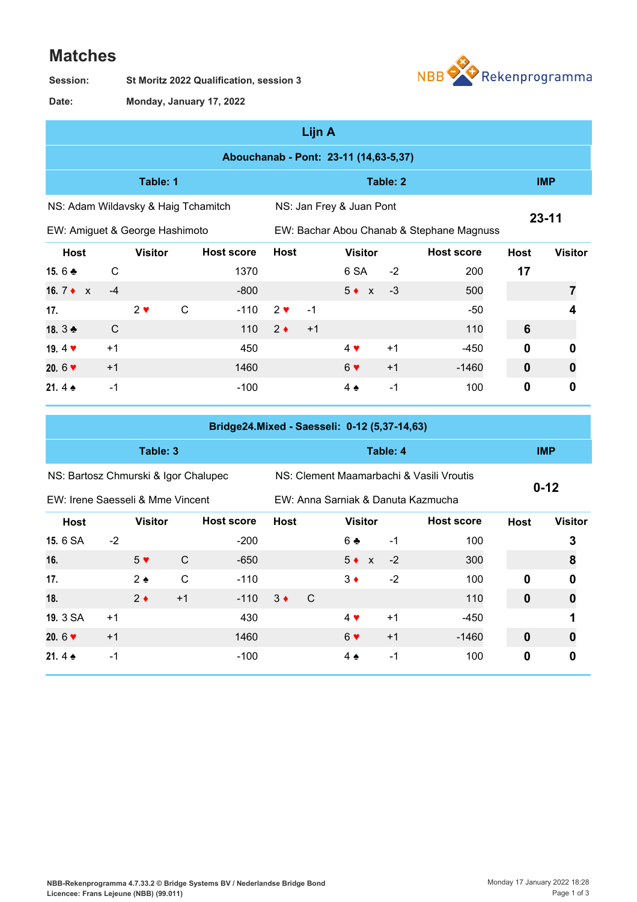## **Matches**

**St Moritz 2022 Qualification, session 3 Session:**



**Monday, January 17, 2022 Date:**

| Lijn A                                |              |                |              |                   |             |                                           |                |            |                   |              |                |
|---------------------------------------|--------------|----------------|--------------|-------------------|-------------|-------------------------------------------|----------------|------------|-------------------|--------------|----------------|
| Abouchanab - Pont: 23-11 (14,63-5,37) |              |                |              |                   |             |                                           |                |            |                   |              |                |
| Table: 1                              |              |                |              |                   |             |                                           |                | <b>IMP</b> |                   |              |                |
| NS: Adam Wildavsky & Haig Tchamitch   |              |                |              |                   |             | NS: Jan Frey & Juan Pont                  |                |            |                   |              |                |
| EW: Amiguet & George Hashimoto        |              |                |              |                   |             | EW: Bachar Abou Chanab & Stephane Magnuss |                | $23 - 11$  |                   |              |                |
| <b>Host</b>                           |              | <b>Visitor</b> |              | <b>Host score</b> | <b>Host</b> |                                           | <b>Visitor</b> |            | <b>Host score</b> | <b>Host</b>  | <b>Visitor</b> |
| 15.6 $\clubsuit$                      | $\mathsf{C}$ |                |              | 1370              |             |                                           | 6 SA           | $-2$       | 200               | 17           |                |
| 16. $7 \bullet x$                     | $-4$         |                |              | $-800$            |             |                                           | $5 \bullet x$  | $-3$       | 500               |              |                |
| 17.                                   |              | $2 \vee$       | $\mathsf{C}$ | $-110$            | $2 \vee$    | $-1$                                      |                |            | $-50$             |              | 4              |
| 18. 3 ♣                               | C            |                |              | 110               | $2 \bullet$ | $+1$                                      |                |            | 110               | 6            |                |
| 19.4 $\blacktriangledown$             | $+1$         |                |              | 450               |             |                                           | $4 \vee$       | $+1$       | $-450$            | $\mathbf 0$  | 0              |
| 20.6 $\blacktriangledown$             | $+1$         |                |              | 1460              |             |                                           | $6 \vee$       | $+1$       | $-1460$           | $\mathbf{0}$ | 0              |
| 21.4 $\triangle$                      | $-1$         |                |              | $-100$            |             |                                           | $4 \triangle$  | $-1$       | 100               | $\mathbf 0$  | 0              |

| Bridge24.Mixed - Saesseli: 0-12 (5,37-14,63) |      |                |              |                   |             |                                          |                                    |      |                   |             |                |
|----------------------------------------------|------|----------------|--------------|-------------------|-------------|------------------------------------------|------------------------------------|------|-------------------|-------------|----------------|
| Table: 3                                     |      |                |              |                   |             |                                          | Table: 4                           |      | <b>IMP</b>        |             |                |
| NS: Bartosz Chmurski & Igor Chalupec         |      |                |              |                   |             | NS: Clement Maamarbachi & Vasili Vroutis | $0 - 12$                           |      |                   |             |                |
| EW: Irene Saesseli & Mme Vincent             |      |                |              |                   |             |                                          | EW: Anna Sarniak & Danuta Kazmucha |      |                   |             |                |
| <b>Host</b>                                  |      | <b>Visitor</b> |              | <b>Host score</b> | <b>Host</b> |                                          | <b>Visitor</b>                     |      | <b>Host score</b> | <b>Host</b> | <b>Visitor</b> |
| 15. 6 SA                                     | $-2$ |                |              | $-200$            |             |                                          | $6 +$                              | $-1$ | 100               |             | 3              |
| 16.                                          |      | $5 \vee$       | C            | $-650$            |             |                                          | $5 \bullet x$                      | $-2$ | 300               |             | 8              |
| 17.                                          |      | $2 \triangle$  | $\mathsf{C}$ | $-110$            |             |                                          | $3 \bullet$                        | $-2$ | 100               | 0           | 0              |
| 18.                                          |      | $2 \bullet$    | $+1$         | $-110$            | $3 \bullet$ | $\mathcal{C}$                            |                                    |      | 110               | $\mathbf 0$ | 0              |
| 19. 3 SA                                     | $+1$ |                |              | 430               |             |                                          | $4 \vee$                           | $+1$ | -450              |             |                |
| 20. $6 \blacktriangledown$                   | $+1$ |                |              | 1460              |             |                                          | 6 <sub>Y</sub>                     | $+1$ | $-1460$           | $\mathbf 0$ | 0              |
| 21.4 $\bullet$                               | $-1$ |                |              | $-100$            |             |                                          | 4 $\triangle$                      | $-1$ | 100               | 0           | 0              |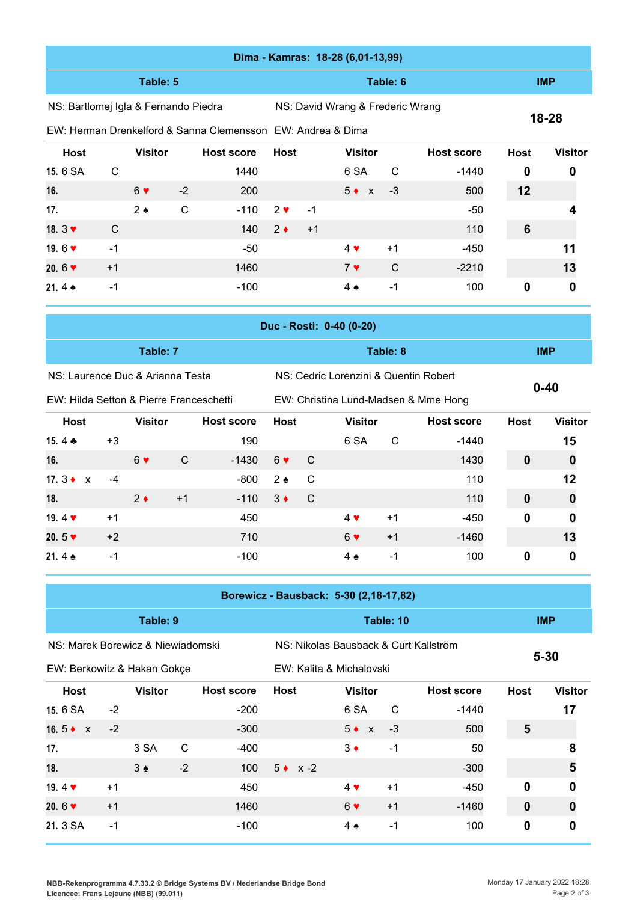| Dima - Kamras: 18-28 (6,01-13,99)                           |                                     |                |              |                                        |                                      |                                       |                                       |                |                   |             |                  |
|-------------------------------------------------------------|-------------------------------------|----------------|--------------|----------------------------------------|--------------------------------------|---------------------------------------|---------------------------------------|----------------|-------------------|-------------|------------------|
| Table: 5                                                    |                                     |                |              |                                        |                                      |                                       |                                       | <b>IMP</b>     |                   |             |                  |
| NS: Bartlomej Igla & Fernando Piedra                        |                                     |                |              |                                        |                                      | NS: David Wrang & Frederic Wrang      |                                       |                |                   |             |                  |
| EW: Herman Drenkelford & Sanna Clemensson EW: Andrea & Dima |                                     |                |              |                                        |                                      |                                       |                                       |                |                   | 18-28       |                  |
| <b>Host</b>                                                 |                                     | <b>Visitor</b> |              | <b>Host score</b>                      | <b>Host</b>                          |                                       | <b>Visitor</b>                        |                | <b>Host score</b> | <b>Host</b> | <b>Visitor</b>   |
| 15.6 SA                                                     | C                                   |                |              | 1440                                   |                                      |                                       | 6 SA                                  | C              | $-1440$           | 0           | 0                |
| 16.                                                         |                                     | 6 <sub>9</sub> | $-2$         | 200                                    |                                      |                                       | $5 \bullet x$                         | $-3$           | 500               | 12          |                  |
| 17.                                                         |                                     | $2 \triangle$  | $\mathsf{C}$ | $-110$                                 | $2 \vee$                             | $-1$                                  |                                       |                | $-50$             |             |                  |
| 18. $3 \blacktriangledown$                                  | C                                   |                |              | 140                                    | $2 \bullet$                          | $+1$                                  |                                       |                | 110               | 6           |                  |
| 19.6 $\blacktriangledown$                                   | $-1$                                |                |              | $-50$                                  |                                      |                                       | $4$ $\blacktriangledown$              | $+1$           | $-450$            |             | 11               |
| 20.6 $\blacktriangledown$                                   | $+1$                                |                |              | 1460                                   |                                      |                                       | 7 <sub>9</sub>                        | $\mathsf{C}$   | $-2210$           |             | 13               |
| 21.4 $\triangle$                                            | $-1$                                |                |              | $-100$                                 |                                      |                                       | $4 \triangle$                         | $-1$           | 100               | 0           | $\mathbf 0$      |
|                                                             |                                     |                |              |                                        |                                      |                                       | Duc - Rosti: 0-40 (0-20)              |                |                   |             |                  |
| Table: 7<br>Table: 8                                        |                                     |                |              |                                        |                                      |                                       |                                       |                |                   | <b>IMP</b>  |                  |
| NS: Laurence Duc & Arianna Testa                            |                                     |                |              |                                        |                                      | NS: Cedric Lorenzini & Quentin Robert |                                       |                |                   |             |                  |
| EW: Hilda Setton & Pierre Franceschetti                     |                                     |                |              |                                        | EW: Christina Lund-Madsen & Mme Hong |                                       |                                       |                |                   | $0 - 40$    |                  |
| <b>Host</b>                                                 | <b>Visitor</b><br><b>Host score</b> |                |              | <b>Host</b>                            |                                      | <b>Host score</b>                     | <b>Host</b>                           | <b>Visitor</b> |                   |             |                  |
| 15.4 ₺                                                      | $+3$                                |                |              | 190                                    |                                      |                                       | <b>Visitor</b><br>6 SA                | C              | $-1440$           |             | 15               |
| 16.                                                         |                                     | 6 <sub>•</sub> | $\mathsf{C}$ | $-1430$                                | 6 <sub>9</sub>                       | C                                     |                                       |                | 1430              | 0           | $\bf{0}$         |
| 17. $3 \bullet x$                                           | $-4$                                |                |              | $-800$                                 | $2 \triangle$                        | C                                     |                                       |                | 110               |             | 12               |
| 18.                                                         |                                     | $2 \bullet$    | $+1$         | $-110$                                 | $3 \bullet$                          | $\mathsf C$                           |                                       |                | 110               | 0           | $\boldsymbol{0}$ |
| 19.4 $\blacktriangledown$                                   | $+1$                                |                |              | 450                                    |                                      |                                       | $4$ Y                                 | $+1$           | $-450$            | 0           | 0                |
| 20.5 $\blacktriangledown$                                   | $+2$                                |                |              | 710                                    |                                      |                                       | 6 <sub>•</sub>                        | $+1$           | $-1460$           |             | 13               |
| 21.4 $\triangle$                                            | $-1$                                |                |              | $-100$                                 |                                      |                                       | $4 \triangle$                         | $-1$           | 100               | 0           | 0                |
|                                                             |                                     |                |              |                                        |                                      |                                       |                                       |                |                   |             |                  |
|                                                             |                                     |                |              | Borewicz - Bausback: 5-30 (2,18-17,82) |                                      |                                       |                                       |                |                   |             |                  |
|                                                             |                                     | Table: 9       |              |                                        |                                      |                                       |                                       | Table: 10      |                   |             | <b>IMP</b>       |
| NS: Marek Borewicz & Niewiadomski                           |                                     |                |              |                                        |                                      |                                       | NS: Nikolas Bausback & Curt Kallström |                | $5 - 30$          |             |                  |
| EW: Berkowitz & Hakan Gokçe                                 |                                     |                |              |                                        | EW: Kalita & Michalovski             |                                       |                                       |                |                   |             |                  |
| <b>Host</b>                                                 |                                     | <b>Visitor</b> |              | <b>Host score</b>                      | <b>Host</b>                          |                                       | <b>Visitor</b>                        |                | <b>Host score</b> | <b>Host</b> | <b>Visitor</b>   |
| 15.6 SA                                                     | $-2$                                |                |              | $-200$                                 |                                      |                                       | 6 SA                                  | C              | $-1440$           |             | 17               |
| 16.5 $\bullet$ x                                            | $-2$                                |                |              | $-300$                                 |                                      |                                       | $5 \bullet x$                         | $-3$           | 500               | 5           |                  |
| 17.                                                         |                                     | 3 SA           | $\mathsf{C}$ | $-400$                                 |                                      |                                       | $3 \triangleleft$                     | $-1$           | 50                |             | 8                |
| 18.                                                         |                                     | $3 \triangle$  | $-2$         | 100                                    |                                      | $5 \bullet x -2$                      |                                       |                | $-300$            |             | 5                |
| 19.4 $\blacktriangledown$                                   | $+1$                                |                |              | 450                                    |                                      |                                       | $4 \blacktriangledown$                | $+1$           | $-450$            | 0           | $\pmb{0}$        |
| 20.6 $\blacktriangledown$                                   | $+1$                                |                |              | 1460                                   |                                      |                                       | $6 \vee$                              | $+1$           | $-1460$           | $\mathbf 0$ | $\boldsymbol{0}$ |

**21.** 3 SA −1 **100** -100 **4 ♠** −1 100 **0 0** 

**NBB-Rekenprogramma 4.7.33.2 © Bridge Systems BV / Nederlandse Bridge Bond Licencee: Frans Lejeune (NBB) (99.011)**